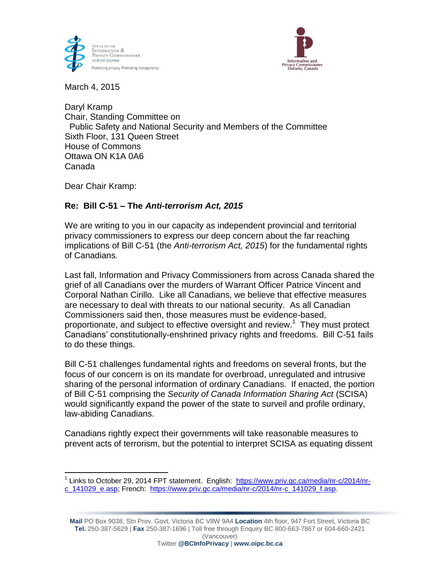



March 4, 2015

Daryl Kramp Chair, Standing Committee on Public Safety and National Security and Members of the Committee Sixth Floor, 131 Queen Street House of Commons Ottawa ON K1A 0A6 Canada

Dear Chair Kramp:

 $\overline{a}$ 

# **Re: Bill C-51 – The** *Anti-terrorism Act, 2015*

We are writing to you in our capacity as independent provincial and territorial privacy commissioners to express our deep concern about the far reaching implications of Bill C-51 (the *Anti-terrorism Act, 2015*) for the fundamental rights of Canadians*.*

Last fall, Information and Privacy Commissioners from across Canada shared the grief of all Canadians over the murders of Warrant Officer Patrice Vincent and Corporal Nathan Cirillo. Like all Canadians, we believe that effective measures are necessary to deal with threats to our national security. As all Canadian Commissioners said then, those measures must be evidence-based, proportionate, and subject to effective oversight and review.<sup>1</sup> They must protect Canadians' constitutionally-enshrined privacy rights and freedoms. Bill C-51 fails to do these things.

Bill C-51 challenges fundamental rights and freedoms on several fronts, but the focus of our concern is on its mandate for overbroad, unregulated and intrusive sharing of the personal information of ordinary Canadians. If enacted, the portion of Bill C-51 comprising the *Security of Canada Information Sharing Act* (SCISA) would significantly expand the power of the state to surveil and profile ordinary, law-abiding Canadians.

Canadians rightly expect their governments will take reasonable measures to prevent acts of terrorism, but the potential to interpret SCISA as equating dissent

<sup>&</sup>lt;sup>1</sup> Links to October 29, 2014 FPT statement. English: [https://www.priv.gc.ca/media/nr-c/2014/nr](https://www.priv.gc.ca/media/nr-c/2014/nr-c_141029_e.asp)[c\\_141029\\_e.asp;](https://www.priv.gc.ca/media/nr-c/2014/nr-c_141029_e.asp) French: [https://www.priv.gc.ca/media/nr-c/2014/nr-c\\_141029\\_f.asp.](https://www.priv.gc.ca/media/nr-c/2014/nr-c_141029_f.asp)

**Mail** PO Box 9038, Stn Prov. Govt, Victoria BC V8W 9A4 **Location** 4th floor, 947 Fort Street, Victoria BC **Tel.** 250-387-5629 | **Fax** 250-387-1696 | Toll free through Enquiry BC 800-663-7867 or 604-660-2421 (Vancouver)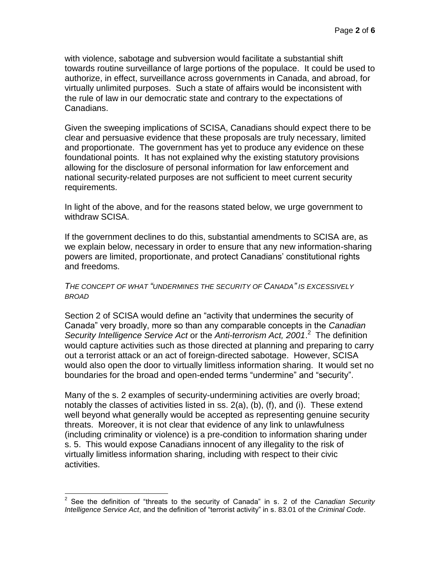with violence, sabotage and subversion would facilitate a substantial shift towards routine surveillance of large portions of the populace. It could be used to authorize, in effect, surveillance across governments in Canada, and abroad, for virtually unlimited purposes. Such a state of affairs would be inconsistent with the rule of law in our democratic state and contrary to the expectations of Canadians.

Given the sweeping implications of SCISA, Canadians should expect there to be clear and persuasive evidence that these proposals are truly necessary, limited and proportionate. The government has yet to produce any evidence on these foundational points. It has not explained why the existing statutory provisions allowing for the disclosure of personal information for law enforcement and national security-related purposes are not sufficient to meet current security requirements.

In light of the above, and for the reasons stated below, we urge government to withdraw SCISA.

If the government declines to do this, substantial amendments to SCISA are, as we explain below, necessary in order to ensure that any new information-sharing powers are limited, proportionate, and protect Canadians' constitutional rights and freedoms.

## *THE CONCEPT OF WHAT "UNDERMINES THE SECURITY OF CANADA" IS EXCESSIVELY BROAD*

Section 2 of SCISA would define an "activity that undermines the security of Canada" very broadly, more so than any comparable concepts in the *Canadian Security Intelligence Service Act* or the *Anti-terrorism Act, 2001*. 2 The definition would capture activities such as those directed at planning and preparing to carry out a terrorist attack or an act of foreign-directed sabotage. However, SCISA would also open the door to virtually limitless information sharing. It would set no boundaries for the broad and open-ended terms "undermine" and "security".

Many of the s. 2 examples of security-undermining activities are overly broad; notably the classes of activities listed in ss. 2(a), (b), (f), and (i). These extend well beyond what generally would be accepted as representing genuine security threats. Moreover, it is not clear that evidence of any link to unlawfulness (including criminality or violence) is a pre-condition to information sharing under s. 5. This would expose Canadians innocent of any illegality to the risk of virtually limitless information sharing, including with respect to their civic activities.

 2 See the definition of "threats to the security of Canada" in s. 2 of the *Canadian Security Intelligence Service Act*, and the definition of "terrorist activity" in s. 83.01 of the *Criminal Code*.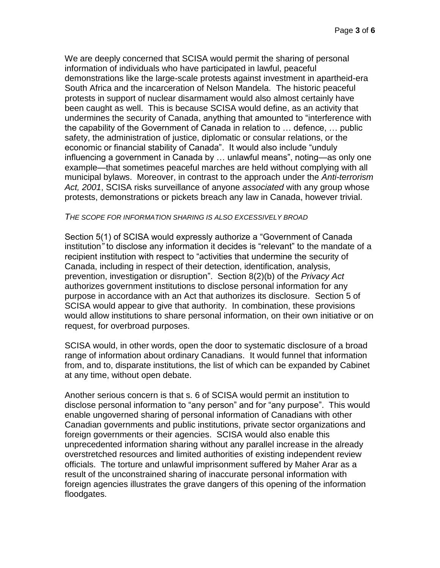We are deeply concerned that SCISA would permit the sharing of personal information of individuals who have participated in lawful, peaceful demonstrations like the large-scale protests against investment in apartheid-era South Africa and the incarceration of Nelson Mandela. The historic peaceful protests in support of nuclear disarmament would also almost certainly have been caught as well. This is because SCISA would define, as an activity that undermines the security of Canada, anything that amounted to "interference with the capability of the Government of Canada in relation to … defence, … public safety, the administration of justice, diplomatic or consular relations, or the economic or financial stability of Canada". It would also include "unduly influencing a government in Canada by … unlawful means", noting—as only one example—that sometimes peaceful marches are held without complying with all municipal bylaws. Moreover, in contrast to the approach under the *Anti-terrorism Act, 2001*, SCISA risks surveillance of anyone *associated* with any group whose protests, demonstrations or pickets breach any law in Canada, however trivial.

### *THE SCOPE FOR INFORMATION SHARING IS ALSO EXCESSIVELY BROAD*

Section 5(1) of SCISA would expressly authorize a "Government of Canada institution*"* to disclose any information it decides is "relevant" to the mandate of a recipient institution with respect to "activities that undermine the security of Canada, including in respect of their detection, identification, analysis, prevention, investigation or disruption". Section 8(2)(b) of the *Privacy Act*  authorizes government institutions to disclose personal information for any purpose in accordance with an Act that authorizes its disclosure. Section 5 of SCISA would appear to give that authority. In combination, these provisions would allow institutions to share personal information, on their own initiative or on request, for overbroad purposes.

SCISA would, in other words, open the door to systematic disclosure of a broad range of information about ordinary Canadians. It would funnel that information from, and to, disparate institutions, the list of which can be expanded by Cabinet at any time, without open debate.

Another serious concern is that s. 6 of SCISA would permit an institution to disclose personal information to "any person" and for "any purpose". This would enable ungoverned sharing of personal information of Canadians with other Canadian governments and public institutions, private sector organizations and foreign governments or their agencies. SCISA would also enable this unprecedented information sharing without any parallel increase in the already overstretched resources and limited authorities of existing independent review officials. The torture and unlawful imprisonment suffered by Maher Arar as a result of the unconstrained sharing of inaccurate personal information with foreign agencies illustrates the grave dangers of this opening of the information floodgates.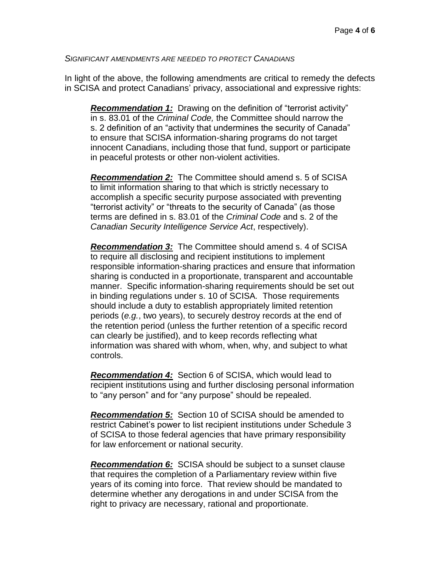### *SIGNIFICANT AMENDMENTS ARE NEEDED TO PROTECT CANADIANS*

In light of the above, the following amendments are critical to remedy the defects in SCISA and protect Canadians' privacy, associational and expressive rights:

*Recommendation 1:* Drawing on the definition of "terrorist activity" in s. 83.01 of the *Criminal Code,* the Committee should narrow the s. 2 definition of an "activity that undermines the security of Canada" to ensure that SCISA information-sharing programs do not target innocent Canadians, including those that fund, support or participate in peaceful protests or other non-violent activities.

*Recommendation 2:* The Committee should amend s. 5 of SCISA to limit information sharing to that which is strictly necessary to accomplish a specific security purpose associated with preventing "terrorist activity" or "threats to the security of Canada" (as those terms are defined in s. 83.01 of the *Criminal Code* and s. 2 of the *Canadian Security Intelligence Service Act*, respectively).

*Recommendation 3:* The Committee should amend s. 4 of SCISA to require all disclosing and recipient institutions to implement responsible information-sharing practices and ensure that information sharing is conducted in a proportionate, transparent and accountable manner. Specific information-sharing requirements should be set out in binding regulations under s. 10 of SCISA*.* Those requirements should include a duty to establish appropriately limited retention periods (*e.g.*, two years), to securely destroy records at the end of the retention period (unless the further retention of a specific record can clearly be justified), and to keep records reflecting what information was shared with whom, when, why, and subject to what controls.

*Recommendation 4:* Section 6 of SCISA, which would lead to recipient institutions using and further disclosing personal information to "any person" and for "any purpose" should be repealed.

*Recommendation 5:* Section 10 of SCISA should be amended to restrict Cabinet's power to list recipient institutions under Schedule 3 of SCISA to those federal agencies that have primary responsibility for law enforcement or national security.

*Recommendation 6:* SCISA should be subject to a sunset clause that requires the completion of a Parliamentary review within five years of its coming into force. That review should be mandated to determine whether any derogations in and under SCISA from the right to privacy are necessary, rational and proportionate.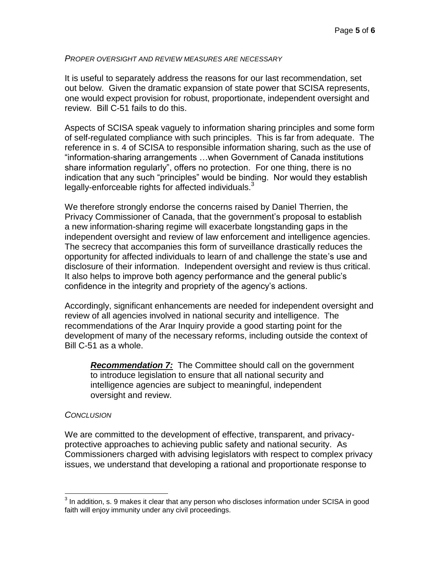### *PROPER OVERSIGHT AND REVIEW MEASURES ARE NECESSARY*

It is useful to separately address the reasons for our last recommendation, set out below. Given the dramatic expansion of state power that SCISA represents, one would expect provision for robust, proportionate, independent oversight and review. Bill C-51 fails to do this.

Aspects of SCISA speak vaguely to information sharing principles and some form of self-regulated compliance with such principles. This is far from adequate. The reference in s. 4 of SCISA to responsible information sharing, such as the use of "information-sharing arrangements …when Government of Canada institutions share information regularly", offers no protection. For one thing, there is no indication that any such "principles" would be binding. Nor would they establish legally-enforceable rights for affected individuals. $3$ 

We therefore strongly endorse the concerns raised by Daniel Therrien, the Privacy Commissioner of Canada, that the government's proposal to establish a new information-sharing regime will exacerbate longstanding gaps in the independent oversight and review of law enforcement and intelligence agencies. The secrecy that accompanies this form of surveillance drastically reduces the opportunity for affected individuals to learn of and challenge the state's use and disclosure of their information. Independent oversight and review is thus critical. It also helps to improve both agency performance and the general public's confidence in the integrity and propriety of the agency's actions.

Accordingly, significant enhancements are needed for independent oversight and review of all agencies involved in national security and intelligence. The recommendations of the Arar Inquiry provide a good starting point for the development of many of the necessary reforms, including outside the context of Bill C-51 as a whole.

*Recommendation 7:* The Committee should call on the government to introduce legislation to ensure that all national security and intelligence agencies are subject to meaningful, independent oversight and review.

### *CONCLUSION*

 $\overline{\phantom{a}}$ 

We are committed to the development of effective, transparent, and privacyprotective approaches to achieving public safety and national security. As Commissioners charged with advising legislators with respect to complex privacy issues, we understand that developing a rational and proportionate response to

 $3$  In addition, s. 9 makes it clear that any person who discloses information under SCISA in good faith will enjoy immunity under any civil proceedings.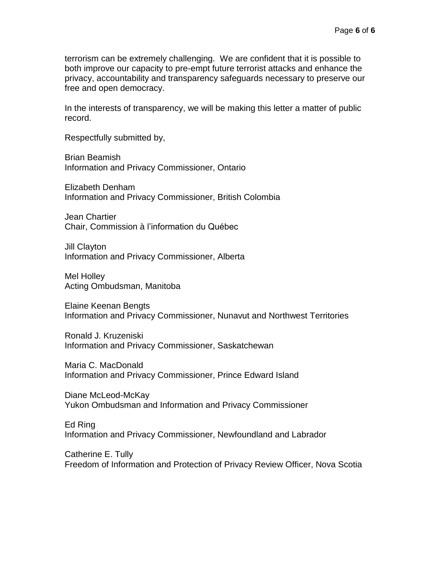terrorism can be extremely challenging. We are confident that it is possible to both improve our capacity to pre-empt future terrorist attacks and enhance the privacy, accountability and transparency safeguards necessary to preserve our free and open democracy.

In the interests of transparency, we will be making this letter a matter of public record.

Respectfully submitted by,

Brian Beamish Information and Privacy Commissioner, Ontario

Elizabeth Denham Information and Privacy Commissioner, British Colombia

Jean Chartier Chair, Commission à l'information du Québec

Jill Clayton Information and Privacy Commissioner, Alberta

Mel Holley Acting Ombudsman, Manitoba

Elaine Keenan Bengts Information and Privacy Commissioner, Nunavut and Northwest Territories

Ronald J. Kruzeniski Information and Privacy Commissioner, Saskatchewan

Maria C. MacDonald Information and Privacy Commissioner, Prince Edward Island

Diane McLeod-McKay Yukon Ombudsman and Information and Privacy Commissioner

Ed Ring Information and Privacy Commissioner, Newfoundland and Labrador

Catherine E. Tully Freedom of Information and Protection of Privacy Review Officer, Nova Scotia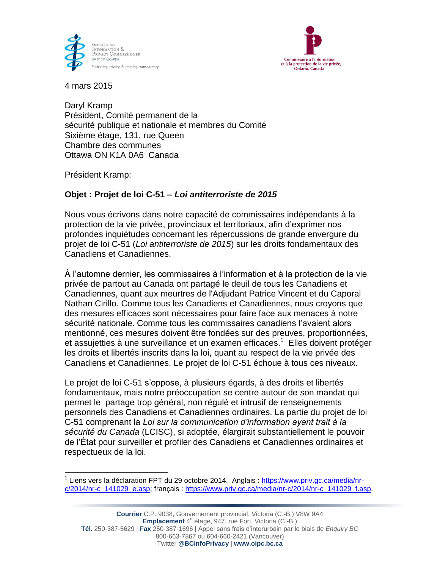



4 mars 2015

Daryl Kramp Président, Comité permanent de la sécurité publique et nationale et membres du Comité Sixième étage, 131, rue Queen Chambre des communes Ottawa ON K1A 0A6 Canada

Président Kramp:

# **Objet : Projet de loi C-51 –** *Loi antiterroriste de 2015*

Nous vous écrivons dans notre capacité de commissaires indépendants à la protection de la vie privée, provinciaux et territoriaux, afin d'exprimer nos profondes inquiétudes concernant les répercussions de grande envergure du projet de loi C-51 (*Loi antiterroriste de 2015*) sur les droits fondamentaux des Canadiens et Canadiennes.

À l'automne dernier, les commissaires à l'information et à la protection de la vie privée de partout au Canada ont partagé le deuil de tous les Canadiens et Canadiennes, quant aux meurtres de l'Adjudant Patrice Vincent et du Caporal Nathan Cirillo. Comme tous les Canadiens et Canadiennes, nous croyons que des mesures efficaces sont nécessaires pour faire face aux menaces à notre sécurité nationale. Comme tous les commissaires canadiens l'avaient alors mentionné, ces mesures doivent être fondées sur des preuves, proportionnées, et assujetties à une surveillance et un examen efficaces.<sup>1</sup> Elles doivent protéger les droits et libertés inscrits dans la loi, quant au respect de la vie privée des Canadiens et Canadiennes. Le projet de loi C-51 échoue à tous ces niveaux.

Le projet de loi C-51 s'oppose, à plusieurs égards, à des droits et libertés fondamentaux, mais notre préoccupation se centre autour de son mandat qui permet le partage trop général, non régulé et intrusif de renseignements personnels des Canadiens et Canadiennes ordinaires. La partie du projet de loi C-51 comprenant la *Loi sur la communication d'information ayant trait à la sécurité du Canada* (LCISC), si adoptée, élargirait substantiellement le pouvoir de l'État pour surveiller et profiler des Canadiens et Canadiennes ordinaires et respectueux de la loi.

 $\overline{\phantom{a}}$ <sup>1</sup> Liens vers la déclaration FPT du 29 octobre 2014. Anglais : [https://www.priv.gc.ca/media/nr](https://www.priv.gc.ca/media/nr-c/2014/nr-c_141029_e.asp)[c/2014/nr-c\\_141029\\_e.asp;](https://www.priv.gc.ca/media/nr-c/2014/nr-c_141029_e.asp) français : [https://www.priv.gc.ca/media/nr-c/2014/nr-c\\_141029\\_f.asp.](https://www.priv.gc.ca/media/nr-c/2014/nr-c_141029_f.asp)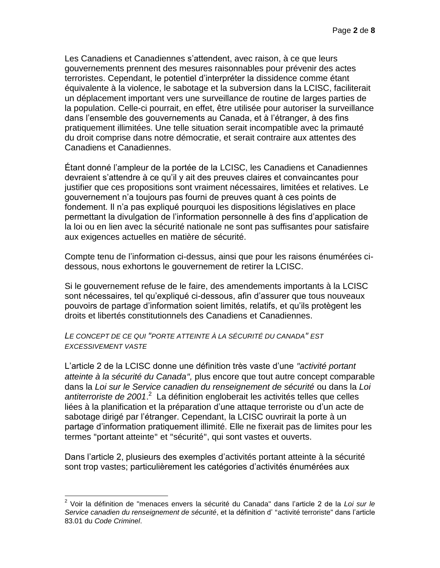Les Canadiens et Canadiennes s'attendent, avec raison, à ce que leurs gouvernements prennent des mesures raisonnables pour prévenir des actes terroristes. Cependant, le potentiel d'interpréter la dissidence comme étant équivalente à la violence, le sabotage et la subversion dans la LCISC, faciliterait un déplacement important vers une surveillance de routine de larges parties de la population. Celle-ci pourrait, en effet, être utilisée pour autoriser la surveillance dans l'ensemble des gouvernements au Canada, et à l'étranger, à des fins pratiquement illimitées. Une telle situation serait incompatible avec la primauté du droit comprise dans notre démocratie, et serait contraire aux attentes des Canadiens et Canadiennes.

Étant donné l'ampleur de la portée de la LCISC, les Canadiens et Canadiennes devraient s'attendre à ce qu'il y ait des preuves claires et convaincantes pour justifier que ces propositions sont vraiment nécessaires, limitées et relatives. Le gouvernement n'a toujours pas fourni de preuves quant à ces points de fondement. Il n'a pas expliqué pourquoi les dispositions législatives en place permettant la divulgation de l'information personnelle à des fins d'application de la loi ou en lien avec la sécurité nationale ne sont pas suffisantes pour satisfaire aux exigences actuelles en matière de sécurité.

Compte tenu de l'information ci-dessus, ainsi que pour les raisons énumérées cidessous, nous exhortons le gouvernement de retirer la LCISC.

Si le gouvernement refuse de le faire, des amendements importants à la LCISC sont nécessaires, tel qu'expliqué ci-dessous, afin d'assurer que tous nouveaux pouvoirs de partage d'information soient limités, relatifs, et qu'ils protègent les droits et libertés constitutionnels des Canadiens et Canadiennes.

## *LE CONCEPT DE CE QUI "PORTE ATTEINTE À LA SÉCURITÉ DU CANADA" EST EXCESSIVEMENT VASTE*

L'article 2 de la LCISC donne une définition très vaste d'une *"activité portant atteinte à la sécurité du Canada",* plus encore que tout autre concept comparable dans la *Loi sur le Service canadien du renseignement de sécurité* ou dans la *Loi*  antiterroriste de 2001.<sup>2</sup> La définition engloberait les activités telles que celles liées à la planification et la préparation d'une attaque terroriste ou d'un acte de sabotage dirigé par l'étranger. Cependant, la LCISC ouvrirait la porte à un partage d'information pratiquement illimité. Elle ne fixerait pas de limites pour les termes "portant atteinte" et "sécurité", qui sont vastes et ouverts.

Dans l'article 2, plusieurs des exemples d'activités portant atteinte à la sécurité sont trop vastes; particulièrement les catégories d'activités énumérées aux

 $\overline{\phantom{a}}$ 2 Voir la définition de "menaces envers la sécurité du Canada" dans l'article 2 de la *Loi sur le Service canadien du renseignement de sécurité*, et la définition d' "activité terroriste" dans l'article 83.01 du *Code Criminel*.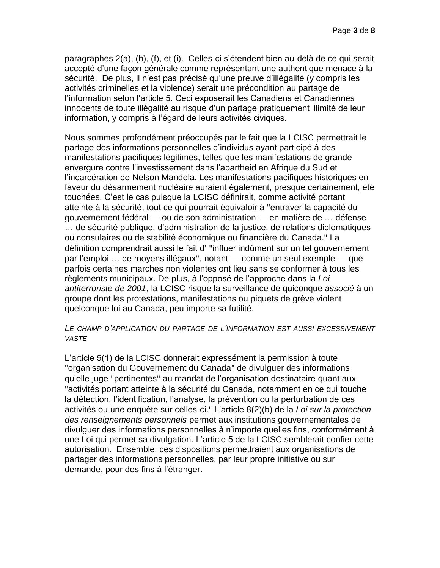paragraphes 2(a), (b), (f), et (i). Celles-ci s'étendent bien au-delà de ce qui serait accepté d'une façon générale comme représentant une authentique menace à la sécurité. De plus, il n'est pas précisé qu'une preuve d'illégalité (y compris les activités criminelles et la violence) serait une précondition au partage de l'information selon l'article 5. Ceci exposerait les Canadiens et Canadiennes innocents de toute illégalité au risque d'un partage pratiquement illimité de leur information, y compris à l'égard de leurs activités civiques.

Nous sommes profondément préoccupés par le fait que la LCISC permettrait le partage des informations personnelles d'individus ayant participé à des manifestations pacifiques légitimes, telles que les manifestations de grande envergure contre l'investissement dans l'apartheid en Afrique du Sud et l'incarcération de Nelson Mandela. Les manifestations pacifiques historiques en faveur du désarmement nucléaire auraient également, presque certainement, été touchées. C'est le cas puisque la LCISC définirait, comme activité portant atteinte à la sécurité, tout ce qui pourrait équivaloir à "entraver la capacité du gouvernement fédéral — ou de son administration — en matière de … défense … de sécurité publique, d'administration de la justice, de relations diplomatiques ou consulaires ou de stabilité économique ou financière du Canada." La définition comprendrait aussi le fait d' "influer indûment sur un tel gouvernement par l'emploi … de moyens illégaux", notant — comme un seul exemple — que parfois certaines marches non violentes ont lieu sans se conformer à tous les règlements municipaux. De plus, à l'opposé de l'approche dans la *Loi antiterroriste de 2001*, la LCISC risque la surveillance de quiconque *associé* à un groupe dont les protestations, manifestations ou piquets de grève violent quelconque loi au Canada, peu importe sa futilité.

### *LE CHAMP D'APPLICATION DU PARTAGE DE L'INFORMATION EST AUSSI EXCESSIVEMENT VASTE*

L'article 5(1) de la LCISC donnerait expressément la permission à toute "organisation du Gouvernement du Canada" de divulguer des informations qu'elle juge "pertinentes" au mandat de l'organisation destinataire quant aux "activités portant atteinte à la sécurité du Canada, notamment en ce qui touche la détection, l'identification, l'analyse, la prévention ou la perturbation de ces activités ou une enquête sur celles-ci." L'article 8(2)(b) de la *Loi sur la protection des renseignements personnels* permet aux institutions gouvernementales de divulguer des informations personnelles à n'importe quelles fins, conformément à une Loi qui permet sa divulgation. L'article 5 de la LCISC semblerait confier cette autorisation. Ensemble, ces dispositions permettraient aux organisations de partager des informations personnelles, par leur propre initiative ou sur demande, pour des fins à l'étranger.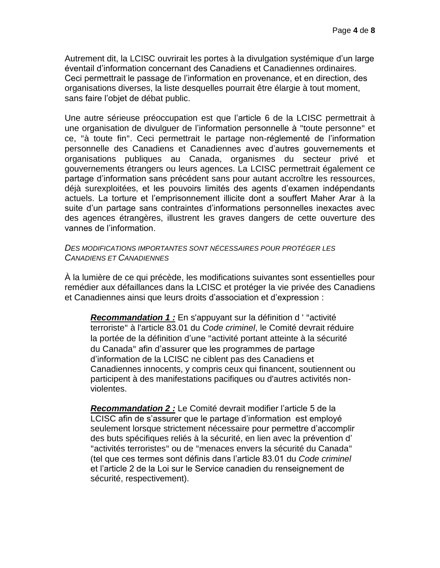Autrement dit, la LCISC ouvrirait les portes à la divulgation systémique d'un large éventail d'information concernant des Canadiens et Canadiennes ordinaires. Ceci permettrait le passage de l'information en provenance, et en direction, des organisations diverses, la liste desquelles pourrait être élargie à tout moment, sans faire l'objet de débat public.

Une autre sérieuse préoccupation est que l'article 6 de la LCISC permettrait à une organisation de divulguer de l'information personnelle à "toute personne" et ce, "à toute fin". Ceci permettrait le partage non-réglementé de l'information personnelle des Canadiens et Canadiennes avec d'autres gouvernements et organisations publiques au Canada, organismes du secteur privé et gouvernements étrangers ou leurs agences. La LCISC permettrait également ce partage d'information sans précédent sans pour autant accroître les ressources, déjà surexploitées, et les pouvoirs limités des agents d'examen indépendants actuels. La torture et l'emprisonnement illicite dont a souffert Maher Arar à la suite d'un partage sans contraintes d'informations personnelles inexactes avec des agences étrangères, illustrent les graves dangers de cette ouverture des vannes de l'information.

*DES MODIFICATIONS IMPORTANTES SONT NÉCESSAIRES POUR PROTÉGER LES CANADIENS ET CANADIENNES*

À la lumière de ce qui précède, les modifications suivantes sont essentielles pour remédier aux défaillances dans la LCISC et protéger la vie privée des Canadiens et Canadiennes ainsi que leurs droits d'association et d'expression :

*Recommandation 1 :* En s'appuyant sur la définition d ' "activité terroriste" à l'article 83.01 du *Code criminel*, le Comité devrait réduire la portée de la définition d'une "activité portant atteinte à la sécurité du Canada" afin d'assurer que les programmes de partage d'information de la LCISC ne ciblent pas des Canadiens et Canadiennes innocents, y compris ceux qui financent, soutiennent ou participent à des manifestations pacifiques ou d'autres activités nonviolentes.

*Recommandation 2 :* Le Comité devrait modifier l'article 5 de la LCISC afin de s'assurer que le partage d'information est employé seulement lorsque strictement nécessaire pour permettre d'accomplir des buts spécifiques reliés à la sécurité, en lien avec la prévention d' "activités terroristes" ou de "menaces envers la sécurité du Canada" (tel que ces termes sont définis dans l'article 83.01 du *Code criminel*  et l'article 2 de la Loi sur le Service canadien du renseignement de sécurité, respectivement).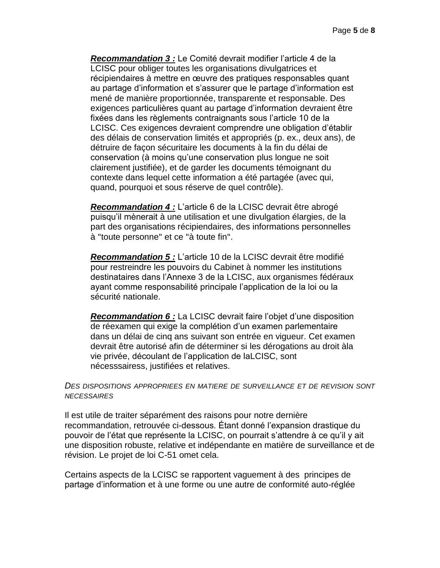*Recommandation 3 :* Le Comité devrait modifier l'article 4 de la LCISC pour obliger toutes les organisations divulgatrices et récipiendaires à mettre en œuvre des pratiques responsables quant au partage d'information et s'assurer que le partage d'information est mené de manière proportionnée, transparente et responsable. Des exigences particulières quant au partage d'information devraient être fixées dans les règlements contraignants sous l'article 10 de la LCISC. Ces exigences devraient comprendre une obligation d'établir des délais de conservation limités et appropriés (p. ex., deux ans), de détruire de façon sécuritaire les documents à la fin du délai de conservation (à moins qu'une conservation plus longue ne soit clairement justifiée), et de garder les documents témoignant du contexte dans lequel cette information a été partagée (avec qui, quand, pourquoi et sous réserve de quel contrôle).

*Recommandation 4 :* L'article 6 de la LCISC devrait être abrogé puisqu'il mènerait à une utilisation et une divulgation élargies, de la part des organisations récipiendaires, des informations personnelles à "toute personne" et ce "à toute fin".

*Recommandation 5 :* L'article 10 de la LCISC devrait être modifié pour restreindre les pouvoirs du Cabinet à nommer les institutions destinataires dans l'Annexe 3 de la LCISC, aux organismes fédéraux ayant comme responsabilité principale l'application de la loi ou la sécurité nationale.

*Recommandation 6 :* La LCISC devrait faire l'objet d'une disposition de réexamen qui exige la complétion d'un examen parlementaire dans un délai de cinq ans suivant son entrée en vigueur. Cet examen devrait être autorisé afin de déterminer si les dérogations au droit àla vie privée, découlant de l'application de laLCISC, sont nécesssairess, justifiées et relatives.

### *DES DISPOSITIONS APPROPRIEES EN MATIERE DE SURVEILLANCE ET DE REVISION SONT NECESSAIRES*

Il est utile de traiter séparément des raisons pour notre dernière recommandation, retrouvée ci-dessous. Étant donné l'expansion drastique du pouvoir de l'état que représente la LCISC, on pourrait s'attendre à ce qu'il y ait une disposition robuste, relative et indépendante en matière de surveillance et de révision. Le projet de loi C-51 omet cela.

Certains aspects de la LCISC se rapportent vaguement à des principes de partage d'information et à une forme ou une autre de conformité auto-réglée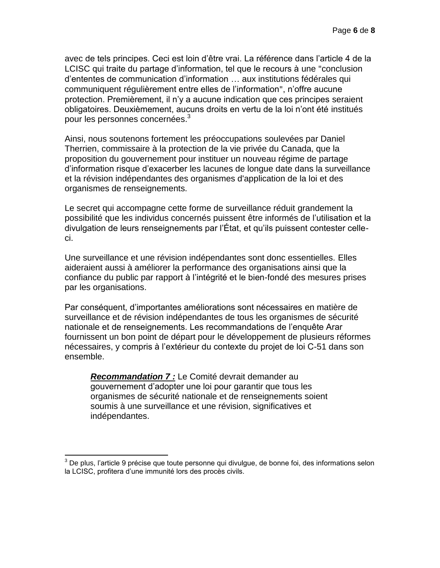avec de tels principes. Ceci est loin d'être vrai. La référence dans l'article 4 de la LCISC qui traite du partage d'information, tel que le recours à une "conclusion d'ententes de communication d'information … aux institutions fédérales qui communiquent régulièrement entre elles de l'information", n'offre aucune protection. Premièrement, il n'y a aucune indication que ces principes seraient obligatoires. Deuxièmement, aucuns droits en vertu de la loi n'ont été institués pour les personnes concernées.<sup>3</sup>

Ainsi, nous soutenons fortement les préoccupations soulevées par Daniel Therrien, commissaire à la protection de la vie privée du Canada, que la proposition du gouvernement pour instituer un nouveau régime de partage d'information risque d'exacerber les lacunes de longue date dans la surveillance et la révision indépendantes des organismes d'application de la loi et des organismes de renseignements.

Le secret qui accompagne cette forme de surveillance réduit grandement la possibilité que les individus concernés puissent être informés de l'utilisation et la divulgation de leurs renseignements par l'État, et qu'ils puissent contester celleci.

Une surveillance et une révision indépendantes sont donc essentielles. Elles aideraient aussi à améliorer la performance des organisations ainsi que la confiance du public par rapport à l'intégrité et le bien-fondé des mesures prises par les organisations.

Par conséquent, d'importantes améliorations sont nécessaires en matière de surveillance et de révision indépendantes de tous les organismes de sécurité nationale et de renseignements. Les recommandations de l'enquête Arar fournissent un bon point de départ pour le développement de plusieurs réformes nécessaires, y compris à l'extérieur du contexte du projet de loi C-51 dans son ensemble.

*Recommandation 7 :* Le Comité devrait demander au gouvernement d'adopter une loi pour garantir que tous les organismes de sécurité nationale et de renseignements soient soumis à une surveillance et une révision, significatives et indépendantes.

 $\overline{a}$ 

 $3$  De plus, l'article 9 précise que toute personne qui divulgue, de bonne foi, des informations selon la LCISC, profitera d'une immunité lors des procès civils.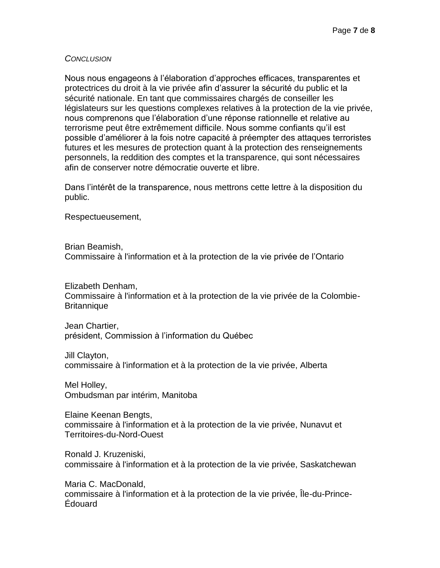## *CONCLUSION*

Nous nous engageons à l'élaboration d'approches efficaces, transparentes et protectrices du droit à la vie privée afin d'assurer la sécurité du public et la sécurité nationale. En tant que commissaires chargés de conseiller les législateurs sur les questions complexes relatives à la protection de la vie privée, nous comprenons que l'élaboration d'une réponse rationnelle et relative au terrorisme peut être extrêmement difficile. Nous somme confiants qu'il est possible d'améliorer à la fois notre capacité à préempter des attaques terroristes futures et les mesures de protection quant à la protection des renseignements personnels, la reddition des comptes et la transparence, qui sont nécessaires afin de conserver notre démocratie ouverte et libre.

Dans l'intérêt de la transparence, nous mettrons cette lettre à la disposition du public.

Respectueusement,

Brian Beamish,

Commissaire à l'information et à la protection de la vie privée de l'Ontario

Elizabeth Denham,

Commissaire à l'information et à la protection de la vie privée de la Colombie-**Britannique** 

Jean Chartier, président, Commission à l'information du Québec

Jill Clayton, commissaire à l'information et à la protection de la vie privée, Alberta

Mel Holley, Ombudsman par intérim, Manitoba

Elaine Keenan Bengts, commissaire à l'information et à la protection de la vie privée, Nunavut et Territoires-du-Nord-Ouest

Ronald J. Kruzeniski, commissaire à l'information et à la protection de la vie privée, Saskatchewan

Maria C. MacDonald, commissaire à l'information et à la protection de la vie privée, Île-du-Prince-Édouard